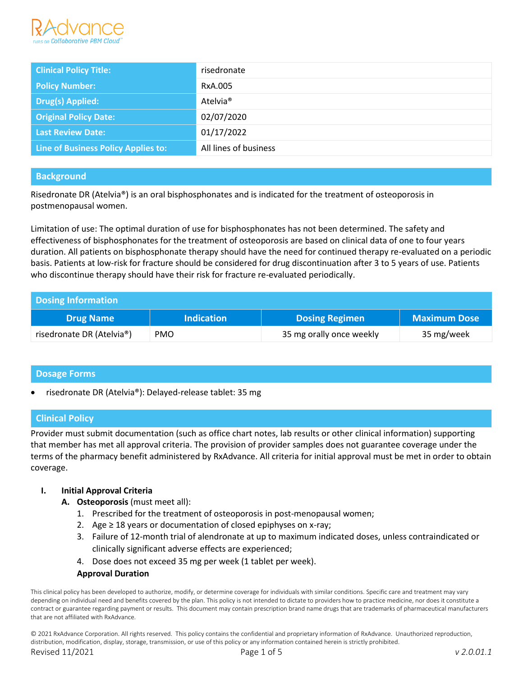

| <b>Clinical Policy Title:</b>       | risedronate           |
|-------------------------------------|-----------------------|
| <b>Policy Number:</b>               | RxA.005               |
| <b>Drug(s) Applied:</b>             | Atelvia <sup>®</sup>  |
| <b>Original Policy Date:</b>        | 02/07/2020            |
| Last Review Date:                   | 01/17/2022            |
| Line of Business Policy Applies to: | All lines of business |

## **Background**

Risedronate DR (Atelvia®) is an oral bisphosphonates and is indicated for the treatment of osteoporosis in postmenopausal women.

Limitation of use: The optimal duration of use for bisphosphonates has not been determined. The safety and effectiveness of bisphosphonates for the treatment of osteoporosis are based on clinical data of one to four years duration. All patients on bisphosphonate therapy should have the need for continued therapy re-evaluated on a periodic basis. Patients at low-risk for fracture should be considered for drug discontinuation after 3 to 5 years of use. Patients who discontinue therapy should have their risk for fracture re-evaluated periodically.

| <b>Dosing Information</b> |                   |                          |                     |
|---------------------------|-------------------|--------------------------|---------------------|
| <b>Drug Name</b>          | <b>Indication</b> | <b>Dosing Regimen</b>    | <b>Maximum Dose</b> |
| risedronate DR (Atelvia®) | <b>PMO</b>        | 35 mg orally once weekly | 35 mg/week          |

## **Dosage Forms**

• risedronate DR (Atelvia®): Delayed-release tablet: 35 mg

## **Clinical Policy**

Provider must submit documentation (such as office chart notes, lab results or other clinical information) supporting that member has met all approval criteria. The provision of provider samples does not guarantee coverage under the terms of the pharmacy benefit administered by RxAdvance. All criteria for initial approval must be met in order to obtain coverage.

#### **I. Initial Approval Criteria**

- **A. Osteoporosis** (must meet all):
	- 1. Prescribed for the treatment of osteoporosis in post-menopausal women;
	- 2. Age  $\geq$  18 years or documentation of closed epiphyses on x-ray;
	- 3. Failure of 12-month trial of alendronate at up to maximum indicated doses, unless contraindicated or clinically significant adverse effects are experienced;
	- 4. Dose does not exceed 35 mg per week (1 tablet per week).

#### **Approval Duration**

This clinical policy has been developed to authorize, modify, or determine coverage for individuals with similar conditions. Specific care and treatment may vary depending on individual need and benefits covered by the plan. This policy is not intended to dictate to providers how to practice medicine, nor does it constitute a contract or guarantee regarding payment or results. This document may contain prescription brand name drugs that are trademarks of pharmaceutical manufacturers that are not affiliated with RxAdvance.

© 2021 RxAdvance Corporation. All rights reserved. This policy contains the confidential and proprietary information of RxAdvance. Unauthorized reproduction, distribution, modification, display, storage, transmission, or use of this policy or any information contained herein is strictly prohibited. Revised 11/2021 Page 1 of 5 *v 2.0.01.1*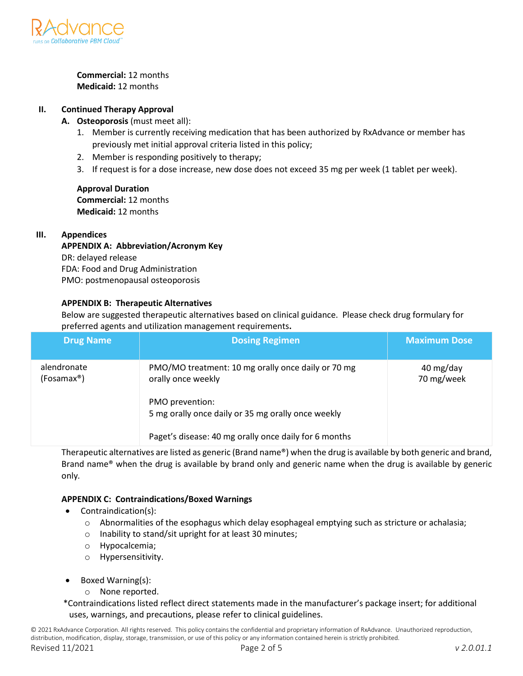

**Commercial:** 12 months **Medicaid:** 12 months

## **II. Continued Therapy Approval**

- **A. Osteoporosis** (must meet all):
	- 1. Member is currently receiving medication that has been authorized by RxAdvance or member has previously met initial approval criteria listed in this policy;
	- 2. Member is responding positively to therapy;
	- 3. If request is for a dose increase, new dose does not exceed 35 mg per week (1 tablet per week).

**Approval Duration Commercial:** 12 months **Medicaid:** 12 months

#### **III. Appendices**

**APPENDIX A: Abbreviation/Acronym Key** DR: delayed release FDA: Food and Drug Administration PMO: postmenopausal osteoporosis

### **APPENDIX B: Therapeutic Alternatives**

Below are suggested therapeutic alternatives based on clinical guidance. Please check drug formulary for preferred agents and utilization management requirements**.**

| <b>Drug Name</b>          | <b>Dosing Regimen</b>                                                    | <b>Maximum Dose</b>     |
|---------------------------|--------------------------------------------------------------------------|-------------------------|
| alendronate<br>(Fosamax®) | PMO/MO treatment: 10 mg orally once daily or 70 mg<br>orally once weekly | 40 mg/day<br>70 mg/week |
|                           | PMO prevention:<br>5 mg orally once daily or 35 mg orally once weekly    |                         |
|                           | Paget's disease: 40 mg orally once daily for 6 months                    |                         |

Therapeutic alternatives are listed as generic (Brand name®) when the drug is available by both generic and brand, Brand name® when the drug is available by brand only and generic name when the drug is available by generic only*.* 

#### **APPENDIX C: Contraindications/Boxed Warnings**

- Contraindication(s):
	- $\circ$  Abnormalities of the esophagus which delay esophageal emptying such as stricture or achalasia;
	- o Inability to stand/sit upright for at least 30 minutes;
	- o Hypocalcemia;
	- o Hypersensitivity.
- Boxed Warning(s):
	- o None reported.

\*Contraindications listed reflect direct statements made in the manufacturer's package insert; for additional uses, warnings, and precautions, please refer to clinical guidelines.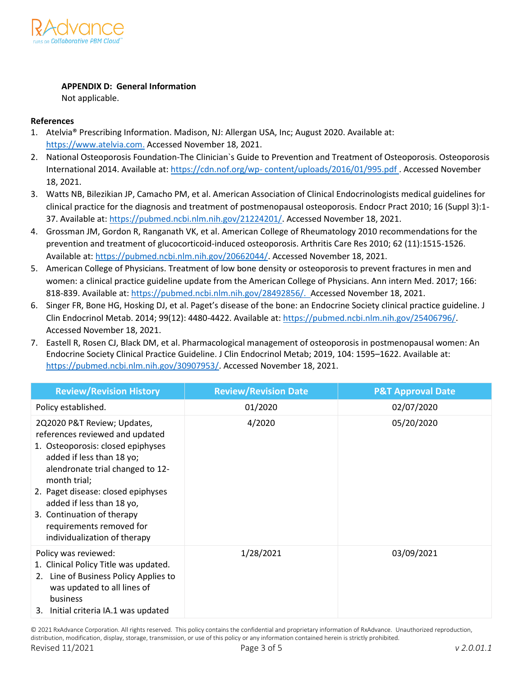

## **APPENDIX D: General Information**

Not applicable.

# **References**

- 1. Atelvia® Prescribing Information. Madison, NJ: Allergan USA, Inc; August 2020. Available at: [https://www.atelvia.com.](https://www.atelvia.com/) Accessed November 18, 2021.
- 2. National Osteoporosis Foundation-The Clinician`s Guide to Prevention and Treatment of Osteoporosis. Osteoporosis International 2014. Available at: [https://cdn.nof.org/wp-](https://cdn.nof.org/wp-content/uploads/2016/01/995.pdf) [content/uploads/2016/01/995.pdf .](https://cdn.nof.org/wp-content/uploads/2016/01/995.pdf) Accessed November 18, 2021.
- 3. Watts NB, Bilezikian JP, Camacho PM, et al. American Association of Clinical Endocrinologists medical guidelines for clinical practice for the diagnosis and treatment of postmenopausal osteoporosis. Endocr Pract 2010; 16 (Suppl 3):1- 37. Available at: [https://pubmed.ncbi.nlm.nih.gov/21224201/.](https://pubmed.ncbi.nlm.nih.gov/21224201/) Accessed November 18, 2021.
- 4. Grossman JM, Gordon R, Ranganath VK, et al. American College of Rheumatology 2010 recommendations for the prevention and treatment of glucocorticoid-induced osteoporosis. Arthritis Care Res 2010; 62 (11):1515-1526. Available at[: https://pubmed.ncbi.nlm.nih.gov/20662044/.](https://pubmed.ncbi.nlm.nih.gov/20662044/) Accessed November 18, 2021.
- 5. American College of Physicians. Treatment of low bone density or osteoporosis to prevent fractures in men and women: a clinical practice guideline update from the American College of Physicians. Ann intern Med. 2017; 166: 818-839. Available at: https://pubmed.ncbi.nlm.nih.gov/28492856/. Accessed November 18, 2021.
- 6. Singer FR, Bone HG, Hosking DJ, et al. Paget's disease of the bone: an Endocrine Society clinical practice guideline. J Clin Endocrinol Metab. 2014; 99(12): 4480-4422. Available at[: https://pubmed.ncbi.nlm.nih.gov/25406796/.](https://pubmed.ncbi.nlm.nih.gov/25406796/) Accessed November 18, 2021.
- 7. Eastell R, Rosen CJ, Black DM, et al. Pharmacological management of osteoporosis in postmenopausal women: An Endocrine Society Clinical Practice Guideline. J Clin Endocrinol Metab; 2019, 104: 1595–1622. Available at: [https://pubmed.ncbi.nlm.nih.gov/30907953/.](https://pubmed.ncbi.nlm.nih.gov/30907953/) Accessed November 18, 2021.

| <b>Review/Revision History</b>                                                                                                                                                                                                                                                                                                                    | <b>Review/Revision Date</b> | <b>P&amp;T Approval Date</b> |
|---------------------------------------------------------------------------------------------------------------------------------------------------------------------------------------------------------------------------------------------------------------------------------------------------------------------------------------------------|-----------------------------|------------------------------|
| Policy established.                                                                                                                                                                                                                                                                                                                               | 01/2020                     | 02/07/2020                   |
| 2Q2020 P&T Review; Updates,<br>references reviewed and updated<br>1. Osteoporosis: closed epiphyses<br>added if less than 18 yo;<br>alendronate trial changed to 12-<br>month trial;<br>2. Paget disease: closed epiphyses<br>added if less than 18 yo,<br>3. Continuation of therapy<br>requirements removed for<br>individualization of therapy | 4/2020                      | 05/20/2020                   |
| Policy was reviewed:<br>1. Clinical Policy Title was updated.<br>2. Line of Business Policy Applies to<br>was updated to all lines of<br>business<br>3. Initial criteria IA.1 was updated                                                                                                                                                         | 1/28/2021                   | 03/09/2021                   |

© 2021 RxAdvance Corporation. All rights reserved. This policy contains the confidential and proprietary information of RxAdvance. Unauthorized reproduction, distribution, modification, display, storage, transmission, or use of this policy or any information contained herein is strictly prohibited.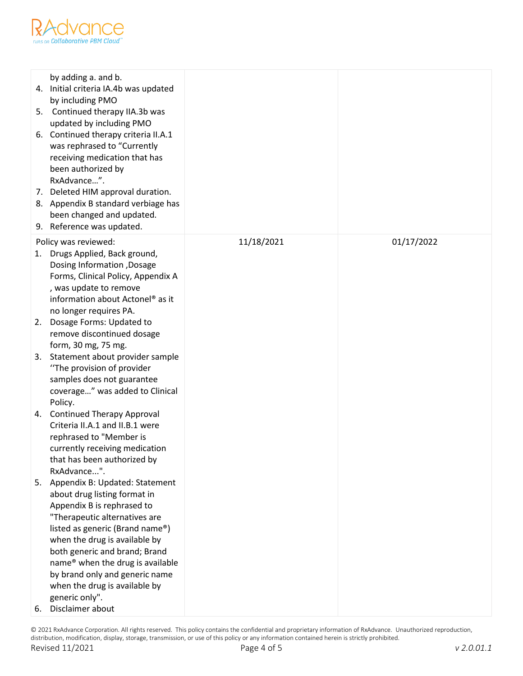

| by adding a. and b.<br>4. Initial criteria IA.4b was updated<br>by including PMO<br>5. Continued therapy IIA.3b was<br>updated by including PMO<br>6. Continued therapy criteria II.A.1<br>was rephrased to "Currently<br>receiving medication that has<br>been authorized by<br>RxAdvance".<br>7. Deleted HIM approval duration.<br>8. Appendix B standard verbiage has<br>been changed and updated.<br>9. Reference was updated. |            |            |
|------------------------------------------------------------------------------------------------------------------------------------------------------------------------------------------------------------------------------------------------------------------------------------------------------------------------------------------------------------------------------------------------------------------------------------|------------|------------|
| Policy was reviewed:<br>Drugs Applied, Back ground,<br>1.<br>Dosing Information , Dosage<br>Forms, Clinical Policy, Appendix A<br>, was update to remove<br>information about Actonel <sup>®</sup> as it<br>no longer requires PA.<br>2. Dosage Forms: Updated to                                                                                                                                                                  | 11/18/2021 | 01/17/2022 |
| remove discontinued dosage<br>form, 30 mg, 75 mg.                                                                                                                                                                                                                                                                                                                                                                                  |            |            |
| Statement about provider sample<br>3.<br>"The provision of provider<br>samples does not guarantee<br>coverage" was added to Clinical<br>Policy.                                                                                                                                                                                                                                                                                    |            |            |
| 4. Continued Therapy Approval<br>Criteria II.A.1 and II.B.1 were<br>rephrased to "Member is<br>currently receiving medication<br>that has been authorized by<br>RxAdvance".                                                                                                                                                                                                                                                        |            |            |
| 5. Appendix B: Updated: Statement<br>about drug listing format in<br>Appendix B is rephrased to<br>"Therapeutic alternatives are<br>listed as generic (Brand name®)<br>when the drug is available by<br>both generic and brand; Brand<br>name® when the drug is available<br>by brand only and generic name<br>when the drug is available by<br>generic only".<br>Disclaimer about<br>6.                                           |            |            |

© 2021 RxAdvance Corporation. All rights reserved. This policy contains the confidential and proprietary information of RxAdvance. Unauthorized reproduction, distribution, modification, display, storage, transmission, or use of this policy or any information contained herein is strictly prohibited. Revised 11/2021 Page 4 of 5 *v 2.0.01.1*